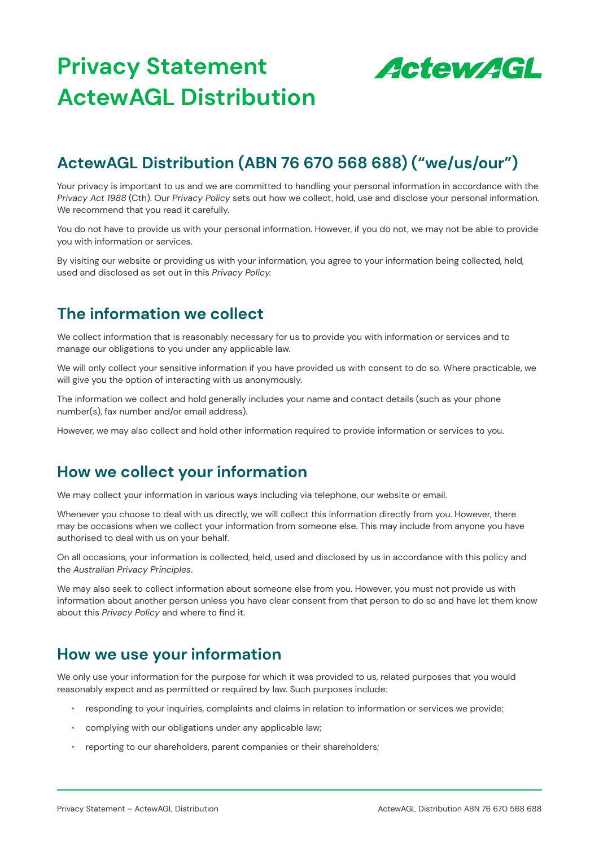

# **ActewAGL Distribution (ABN 76 670 568 688) ("we/us/our")**

Your privacy is important to us and we are committed to handling your personal information in accordance with the *Privacy Act 1988* (Cth). Our *Privacy Policy* sets out how we collect, hold, use and disclose your personal information. We recommend that you read it carefully.

You do not have to provide us with your personal information. However, if you do not, we may not be able to provide you with information or services.

By visiting our website or providing us with your information, you agree to your information being collected, held, used and disclosed as set out in this *Privacy Policy.*

### **The information we collect**

We collect information that is reasonably necessary for us to provide you with information or services and to manage our obligations to you under any applicable law.

We will only collect your sensitive information if you have provided us with consent to do so. Where practicable, we will give you the option of interacting with us anonymously.

The information we collect and hold generally includes your name and contact details (such as your phone number(s), fax number and/or email address).

However, we may also collect and hold other information required to provide information or services to you.

### **How we collect your information**

We may collect your information in various ways including via telephone, our website or email.

Whenever you choose to deal with us directly, we will collect this information directly from you. However, there may be occasions when we collect your information from someone else. This may include from anyone you have authorised to deal with us on your behalf.

On all occasions, your information is collected, held, used and disclosed by us in accordance with this policy and the *Australian Privacy Principles*.

We may also seek to collect information about someone else from you. However, you must not provide us with information about another person unless you have clear consent from that person to do so and have let them know about this *Privacy Policy* and where to find it.

### **How we use your information**

We only use your information for the purpose for which it was provided to us, related purposes that you would reasonably expect and as permitted or required by law. Such purposes include:

- responding to your inquiries, complaints and claims in relation to information or services we provide;
- complying with our obligations under any applicable law;
- reporting to our shareholders, parent companies or their shareholders;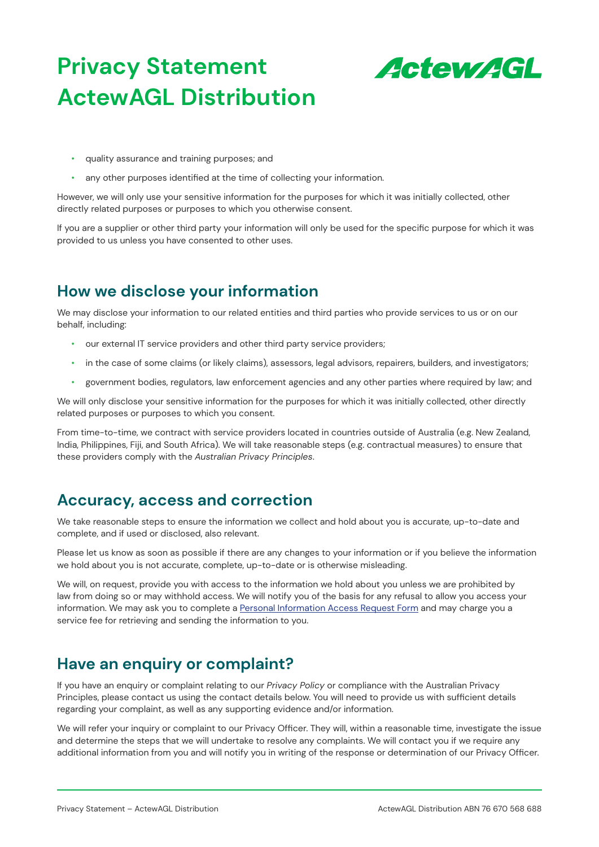

- quality assurance and training purposes; and
- any other purposes identified at the time of collecting your information.

However, we will only use your sensitive information for the purposes for which it was initially collected, other directly related purposes or purposes to which you otherwise consent.

If you are a supplier or other third party your information will only be used for the specific purpose for which it was provided to us unless you have consented to other uses.

## **How we disclose your information**

We may disclose your information to our related entities and third parties who provide services to us or on our behalf, including:

- our external IT service providers and other third party service providers;
- in the case of some claims (or likely claims), assessors, legal advisors, repairers, builders, and investigators;
- government bodies, regulators, law enforcement agencies and any other parties where required by law; and

We will only disclose your sensitive information for the purposes for which it was initially collected, other directly related purposes or purposes to which you consent.

From time-to-time, we contract with service providers located in countries outside of Australia (e.g. New Zealand, India, Philippines, Fiji, and South Africa). We will take reasonable steps (e.g. contractual measures) to ensure that these providers comply with the *Australian Privacy Principles*.

#### **Accuracy, access and correction**

We take reasonable steps to ensure the information we collect and hold about you is accurate, up-to-date and complete, and if used or disclosed, also relevant.

Please let us know as soon as possible if there are any changes to your information or if you believe the information we hold about you is not accurate, complete, up-to-date or is otherwise misleading.

We will, on request, provide you with access to the information we hold about you unless we are prohibited by law from doing so or may withhold access. We will notify you of the basis for any refusal to allow you access your information. We may ask you to complete a [Personal Information Access Request Form](https://www.actewagljv.com.au/-/media/project/actewagl/ajv/files/forms/actewagl-distribution_personal-information-access-request-form-updated.pdf) and may charge you a service fee for retrieving and sending the information to you.

### **Have an enquiry or complaint?**

If you have an enquiry or complaint relating to our *Privacy Policy* or compliance with the Australian Privacy Principles, please contact us using the contact details below. You will need to provide us with sufficient details regarding your complaint, as well as any supporting evidence and/or information.

We will refer your inquiry or complaint to our Privacy Officer. They will, within a reasonable time, investigate the issue and determine the steps that we will undertake to resolve any complaints. We will contact you if we require any additional information from you and will notify you in writing of the response or determination of our Privacy Officer.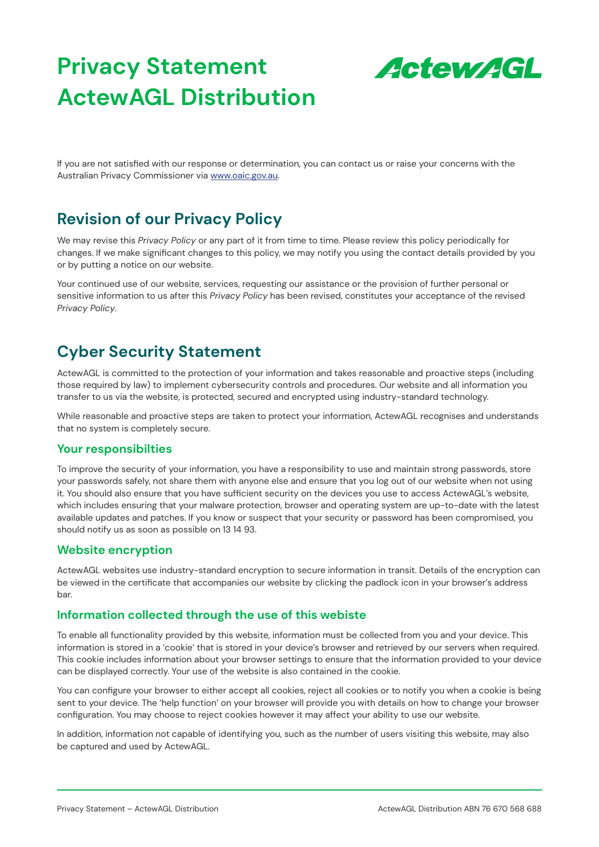

If you are not satisfied with our response or determination, you can contact us or raise your concerns with the Australian Privacy Commissioner via [www.oaic.gov.au](http://www.oaic.gov.au).

## **Revision of our Privacy Policy**

We may revise this *Privacy Policy* or any part of it from time to time. Please review this policy periodically for changes. If we make significant changes to this policy, we may notify you using the contact details provided by you or by putting a notice on our website.

Your continued use of our website, services, requesting our assistance or the provision of further personal or sensitive information to us after this *Privacy Policy* has been revised, constitutes your acceptance of the revised *Privacy Policy*.

# **Cyber Security Statement**

ActewAGL is committed to the protection of your information and takes reasonable and proactive steps (including those required by law) to implement cybersecurity controls and procedures. Our website and all information you transfer to us via the website, is protected, secured and encrypted using industry-standard technology.

While reasonable and proactive steps are taken to protect your information, ActewAGL recognises and understands that no system is completely secure.

#### **Your responsibilties**

To improve the security of your information, you have a responsibility to use and maintain strong passwords, store your passwords safely, not share them with anyone else and ensure that you log out of our website when not using it. You should also ensure that you have sufficient security on the devices you use to access ActewAGL's website, which includes ensuring that your malware protection, browser and operating system are up-to-date with the latest available updates and patches. If you know or suspect that your security or password has been compromised, you should notify us as soon as possible on 13 14 93.

#### **Website encryption**

ActewAGL websites use industry-standard encryption to secure information in transit. Details of the encryption can be viewed in the certificate that accompanies our website by clicking the padlock icon in your browser's address bar.

#### **Information collected through the use of this webiste**

To enable all functionality provided by this website, information must be collected from you and your device. This information is stored in a 'cookie' that is stored in your device's browser and retrieved by our servers when required. This cookie includes information about your browser settings to ensure that the information provided to your device can be displayed correctly. Your use of the website is also contained in the cookie.

You can configure your browser to either accept all cookies, reject all cookies or to notify you when a cookie is being sent to your device. The 'help function' on your browser will provide you with details on how to change your browser configuration. You may choose to reject cookies however it may affect your ability to use our website.

In addition, information not capable of identifying you, such as the number of users visiting this website, may also be captured and used by ActewAGL.